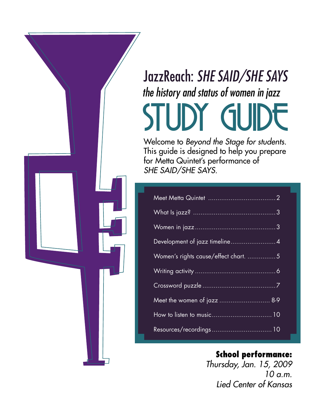## JazzReach: *SHE SAID/SHE SAYS* STUDY GUIDE *the history and status of women in jazz*

Welcome to *Beyond the Stage for students.*  This guide is designed to help you prepare for Metta Quintet's performance of *SHE SAID/SHE SAYS.*

| Development of jazz timeline4        |
|--------------------------------------|
| Women's rights cause/effect chart. 5 |
|                                      |
|                                      |
|                                      |
|                                      |
|                                      |

#### **School performance:**

*Thursday, Jan. 15, 2009 10 a.m. Lied Center of Kansas*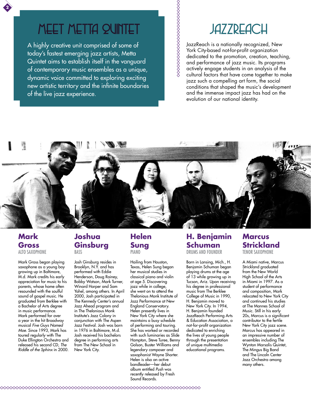### meet metta quintet

A highly creative unit comprised of some of today's fastest emerging jazz artists, Metta Quintet aims to establish itself in the vanguard of contemporary music ensembles as a unique, dynamic voice committed to exploring exciting new artistic territory and the infinite boundaries of the live jazz experience.

### **JAZZREACH**

JazzReach is a nationally recognized, New York City-based not-for-profit organization dedicated to the promotion, creation, teaching, and performance of jazz music. Its programs actively engage students in an analysis of the cultural factors that have come together to make jazz such a compelling art form, the social conditions that shaped the music's development and the immense impact jazz has had on the evolution of our national identity.



**%%%%%%%%%%%%%%%%** 

#### **Mark Gross** Alto Saxophone

**2**

Mark Gross began playing saxophone as a young boy growing up in Baltimore, M.d. Mark credits his early appreciation for music to his parents, whose home often resounded with the soulful sound of gospel music. He graduated from Berklee with a Bachelor of Arts degree in music performance. Mark performed for over a year in the hit Broadway musical *Five Guys Named Moe.* Since 1993, Mark has toured regularly with The Duke Ellington Orchestra and released his second CD, *The Riddle of the Sphinx* in 2000.

#### **Joshua Ginsburg** Bass

Josh Ginsburg resides in Brooklyn, N.Y. and has performed with Eddie Henderson, Doug Rainey, Bobby Watson, Mark Turner, Winard Harper and Sam Yahel, among others. In April 2000, Josh participated in The Kennedy Center's annual Jazz Ahead program and in The Thelonious Monk Institute's Jazz Colony in conjunction with The Aspen Jazz Festival. Josh was born in 1976 in Baltimore, M.d. Josh received his bachelors degree in performing arts from The New School in New York City.

#### **Helen Sung** piano

Hailing from Houston, Texas, Helen Sung began her musical studies in classical piano and violin at age 5. Discovering jazz while in college, she went on to attend the Thelonious Monk Institute of Jazz Performance at New England Conservatory. Helen presently lives in New York City where she maintains a busy schedule of performing and touring. She has worked or recorded with such luminaries as Slide Hampton, Steve Turee, Benny Golson, Buster Williams and legendary composer and saxophonist Wayne Shorter. Helen is also an active bandleader—her debut album entitled *Push* was recently released by Fresh Sound Records.

#### **H. Benjamin Schuman** Drums and Founder

Born in Lansing, Mich., H. Benjamin Schuman began playing drums at the age of 13 while growing up in Tucson, Ariz. Upon receiving his degree in professional music from The Berklee College of Music in 1990, H. Benjamin moved to New York City. In 1994, H. Benjamin founded JazzReach Performing Arts & Education Association, a not-for-profit organization dedicated to enriching the lives of young people through the presentation of unique multimedia educational programs.

#### **Marcus Strickland**

Tenor Saxophone

A Miami native, Marcus Strickland graduated from the New World High School of the Arts in Miami in 1997. As a student of performance and composition, Mark relocated to New York City and continued his studies at The Mannes School of Music. Still in his early 20s, Marcus is a significant contributor to the fertile New York City jazz scene. Marcus has appeared in an impressive number of ensembles including The Wynton Marsalis Quintet, The Mingus Big Band and The Lincoln Center Jazz Orchestra among many others.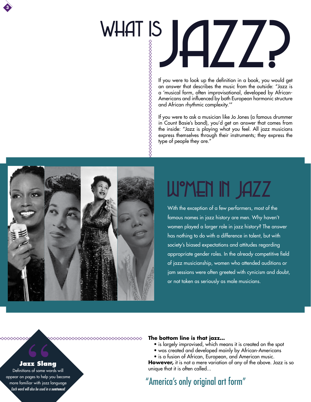

# WHAT IS II /

If you were to look up the definition in a book, you would get an answer that describes the music from the outside: "Jazz is a 'musical form, often improvisational, developed by African-Americans and influenced by both European harmonic structure and African rhythmic complexity.'"

If you were to ask a musician like Jo Jones (a famous drummer in Count Basie's band), you'd get an answer that comes from the inside: "Jazz is playing what you feel. All jazz musicians express themselves through their instruments; they express the type of people they are."



### WMEN IN JAZZ

With the exception of a few performers, most of the famous names in jazz history are men. Why haven't women played a larger role in jazz history? The answer has nothing to do with a difference in talent, but with society's biased expectations and attitudes regarding appropriate gender roles. In the already competitive field of jazz musicianship, women who attended auditions or jam sessions were often greeted with cynicism and doubt, or not taken as seriously as male musicians.

#### **The bottom line is that jazz…**

- is largely improvised, which means it is created on the spot
- was created and developed mainly by African-Americans
- is a fusion of African, European, and American music.

**However,** it is not a mere variation of any of the above. Jazz is so unique that it is often called...

#### **Jazz Slang**

Definitions of some words will appear on pages to help you become more familiar with jazz language *Each word will also be used in a sentence!*

#### "America's only original art form"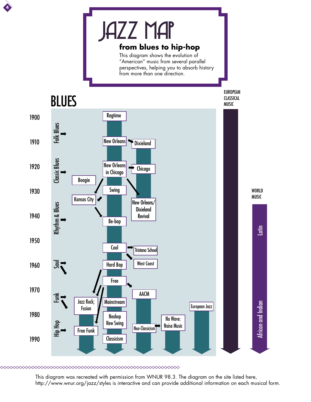

**4**

This diagram was recreated with permission from WNUR 98.3. The diagram on the site listed here, http://www.wnur.org/jazz/styles is interactive and can provide additional information on each musical form.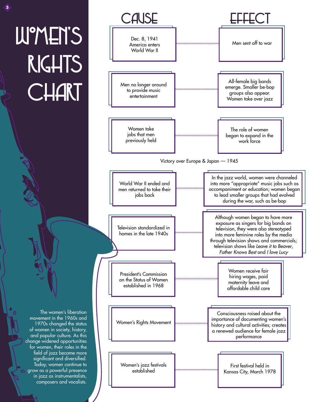# W°MEN'S rights **CHART**

**5**



The women's liberation movement in the 1960s and 1970s changed the status of women in society, history, and popular culture. As this change widened opportunities for women, their roles in the field of jazz became more significant and diversified. Today, women continue to grow as a powerful presence in jazz as instrumentalists, composers and vocalists.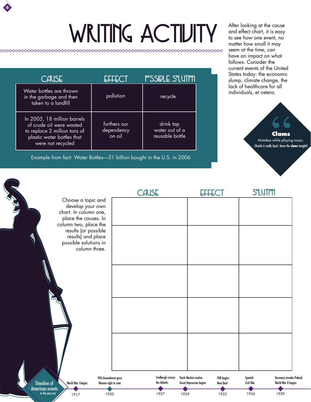# WRITING ACTIVITY After looking at the cause

**6**

| CAUSE                                                                                                                                      | <b>FFFECT</b>                        | P°SSIDLE S'LUTI'II                             |
|--------------------------------------------------------------------------------------------------------------------------------------------|--------------------------------------|------------------------------------------------|
| Water bottles are thrown<br>in the garbage and then<br>taken to a landfill                                                                 | pollution                            | recycle                                        |
| In 2005, 18 million barrels<br>of crude oil were wasted<br>to replace 2 million tons of<br>plastic water bottles that<br>were not recycled | furthers our<br>dependency<br>on oil | drink tap<br>water out of a<br>reusable bottle |

Example from fact: Water Bottles—31 billion bought in the U.S. in 2006

and effect chart, it is easy to see how one event, no matter how small it may seem at the time, can have an impact on what follows. Consider the current events of the United States today: the economic slump, climate change, the lack of healthcare for all individuals, et cetera.



|                                                                                                                                 | <b>CAUSE</b>                      |                                                                                         | <b>S°LUTI°N</b>                                                               |
|---------------------------------------------------------------------------------------------------------------------------------|-----------------------------------|-----------------------------------------------------------------------------------------|-------------------------------------------------------------------------------|
| <b>ASID</b><br>Choose a topic and<br>develop your own<br>chart. In column one,<br>place the causes. In<br>column two, place the |                                   |                                                                                         |                                                                               |
| results (or possible<br>results) and place<br>possible solutions in<br>column three.                                            |                                   |                                                                                         |                                                                               |
|                                                                                                                                 |                                   |                                                                                         |                                                                               |
| S                                                                                                                               |                                   |                                                                                         |                                                                               |
|                                                                                                                                 |                                   |                                                                                         |                                                                               |
| 19th Amendment gave<br><b>Timeline of</b><br>World War I begins<br>Women right to vote<br><b>American events</b>                | Lindbergh crosses<br>the Atlantic | Stock Market crashes<br>FDR begins<br><b>Great Depression begins</b><br><b>New Deal</b> | Germany invades Poland:<br>Spanish<br><b>Civil War</b><br>World War II begins |
| in the jazz era<br>1920<br>1917                                                                                                 | 1927                              | 1929<br>1933                                                                            | 1936<br>1939                                                                  |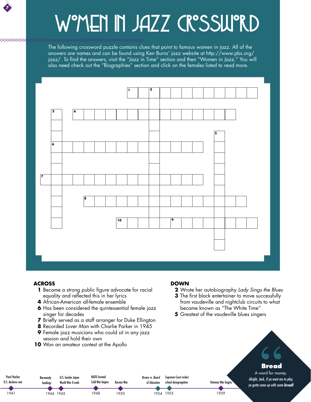### **7**

 $\infty$ 

# W°MEN IN JAZZ CR°SSW°RD

The following crossword puzzle contains clues that point to famous women in jazz. All of the answers are names and can be found using Ken Burns' jazz website at http://www.pbs.org/ jazz/. To find the answers, visit the "Jazz in Time" section and then "Women in Jazz." You will also need check out the "Biographies" section and click on the females listed to read more.



#### **ACROSS**

Pearl Harbor U.S. declares war

1941 1944 1945

**Normandy** landings

- **1** Became a strong public figure advocate for racial equality and reflected this in her lyrics
- **4** African-American all-female ensemble
- **6** Has been considered the quintessential female jazz singer for decades
- **7** Briefly served as a staff arranger for Duke Ellington
- **8** Recorded *Lover Man* with Charlie Parker in 1945
- **9** Female jazz musicians who could sit in any jazz session and hold their own

NATO formed Cold War begins

Korean War

*Brown vs. Board of Education*

1954 1955

Supreme Court orders school desegregation

1950

1948

**10** Won an amateur contest at the Apollo

U.S. bombs Japan World War II ends

#### **DOWN**

- **2** Wrote her autobiography *Lady Sings the Blues*
- **3** The first black entertainer to move successfully from vaudeville and nightclub circuits to what became known as "The White Time"
- **5** Greatest of the vaudeville blues singers



1959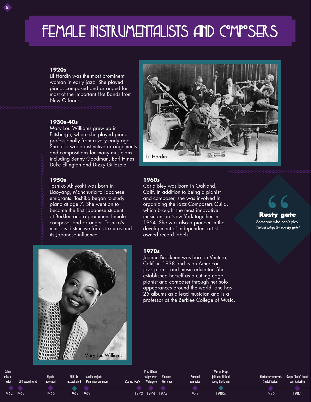### FEMALE INSTRUMENTALISTS AND COMPOSERS

#### **1920s**

**8**

Lil Hardin was the most prominent woman in early jazz. She played piano, composed and arranged for most of the important Hot Bands from New Orleans.

#### **1930s-40s**

Mary Lou Williams grew up in Pittsburgh, where she played piano professionally from a very early age. She also wrote distinctive arrangements and compositions for many musicians including Benny Goodman, Earl Hines, Duke Ellington and Dizzy Gillespie.

#### **1950s**

Toshiko Akiyoshi was born in Liaoyang, Manchuria to Japanese emigrants. Toshiko began to study piano at age 7. She went on to become the first Japanese student at Berklee and a prominent female composer and arranger. Toshiko's music is distinctive for its textures and its Japanese influence.





#### **1960s**

Carla Bley was born in Oakland, Calif. In addition to being a pianist and composer, she was involved in organizing the Jazz Composers Guild, which brought the most innovative musicians in New York together in 1964. She was also a pioneer in the development of independent artistowned record labels.

#### **1970s**

Joanne Brackeen was born in Ventura, Calif. in 1938 and is an American jazz pianist and music educator. She established herself as a cutting edge pianist and composer through her solo appearances around the world. She has 25 albums as a lead musician and is a professor at the Berklee College of Music.

**Rusty gate** Someone who can't play. *That cat swings like a rusty gate!*

| Cuban<br>missile<br>crisis | JFK assassinated | <b>Hippie</b><br>movement |      | MLK, Jr. Apollo project:<br>assassinated Man lands on moon | Roe vs. Wade Watergate War ends | Pres. Nixon<br>resigns over | Vietnam | Personal<br>computer | War on Drugs<br>iails one-fifth of<br>young black men | Soviet System | <b>Gorbachev unravels</b> Ozone "hole" found<br>over Antartica |
|----------------------------|------------------|---------------------------|------|------------------------------------------------------------|---------------------------------|-----------------------------|---------|----------------------|-------------------------------------------------------|---------------|----------------------------------------------------------------|
|                            |                  |                           |      |                                                            |                                 |                             |         |                      |                                                       |               |                                                                |
|                            |                  |                           |      |                                                            |                                 |                             |         |                      |                                                       |               |                                                                |
| 1962 1963                  |                  | 1966                      | 1968 | 1969                                                       |                                 | 1973 1974                   | 1975    | 1978                 | 1980s                                                 | 1985          | 1987                                                           |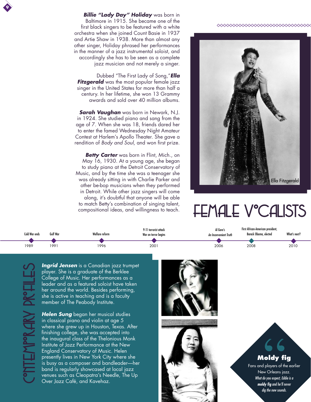*Billie "Lady Day" Holiday* was born in Baltimore in 1915. She became one of the first black singers to be featured with a white orchestra when she joined Count Basie in 1937 and Artie Shaw in 1938. More than almost any other singer, Holiday phrased her performances in the manner of a jazz instrumental soloist, and accordingly she has to be seen as a complete jazz musician and not merely a singer.

Dubbed "The First Lady of Song,"*Ella Fitzgerald* was the most popular female jazz singer in the United States for more than half a century. In her lifetime, she won 13 Grammy awards and sold over 40 million albums.

*Sarah Vaughan* was born in Newark, N.J. in 1924. She studied piano and sang from the age of 7. When she was 18, friends dared her to enter the famed Wednesday Night Amateur Contest at Harlem's Apollo Theater. She gave a rendition of *Body and Soul*, and won first prize.

*Betty Carter* was born in Flint, Mich., on May 16, 1930. At a young age, she began to study piano at the Detroit Conservatory of Music, and by the time she was a teenager she was already sitting in with Charlie Parker and other be-bop musicians when they performed in Detroit. While other jazz singers will come along, it's doubtful that anyone will be able to match Betty's combination of singing talent, compositional ideas, and willingness to teach.





### FEMALE V°CALISTS

| Cold War ends | Gulf War | Welfare reform | 9-11 terrorist attack<br>War on terror begins | Al Gore's<br>An Inconvenient Truth | First African-American president,<br>Barack Obama, elected | What's next? |
|---------------|----------|----------------|-----------------------------------------------|------------------------------------|------------------------------------------------------------|--------------|
|               |          |                |                                               |                                    |                                                            |              |
| 1989          | 1991     | 1996           | 2001                                          | 2006                               | 2008                                                       | 2010         |

Contemporary Profiles

**9**

*Ingrid Jensen* is a Canadian jazz trumpet player. She is a graduate of the Berklee College of Music. Her performances as a leader and as a featured soloist have taken her around the world. Besides performing, she is active in teaching and is a faculty member of The Peabody Institute.

*Helen Sung* began her musical studies in classical piano and violin at age 5 where she grew up in Houston, Texas. After finishing college, she was accepted into the inaugural class of the Thelonious Monk Institute of Jazz Performance at the New England Conservatory of Music. Helen presently lives in New York City where she is busy as a composer and bandleader—her band is regularly showcased at local jazz venues such as Cleopatra's Needle, The Up Over Jazz Café, and Kavehaz.





**Moldy fig**

Fans and players of the earlier New Orleans jazz. *What do you expect, Eddie is a moldy fig and he'll never dig the new sounds.*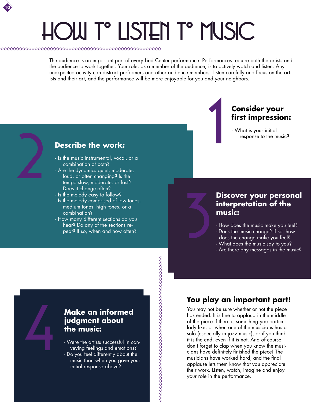# hOw to listen to Music

**10**

The audience is an important part of every Lied Center performance. Performances require both the artists and the audience to work together. Your role, as a member of the audience, is to actively watch and listen. Any unexpected activity can distract performers and other audience members. Listen carefully and focus on the artists and their art, and the performance will be more enjoyable for you and your neighbors.



#### **Consider your first impression:**

- What is your initial response to the music?

#### **Describe the work:**

- Is the music instrumental, vocal, or a combination of both?
- **Describe the work:**<br>
 Is the music instrumental, vocal, or a<br>
combination of both?<br>
 Are the dynamics quiet, moderate,<br>
loud, or often changing? Is the<br>
tempo slow, moderate, or fast?<br>
Does it change often? - Are the dynamics quiet, moderate, loud, or often changing? Is the tempo slow, moderate, or fast? Does it change often?
	- Is the melody easy to follow?
	- Is the melody comprised of low tones, medium tones, high tones, or a combination?
	- How many different sections do you hear? Do any of the sections repeat? If so, when and how often?

#### **Discover your personal interpretation of the music:**

- How does the music make you feel?
- Does the music change? If so, how
- does the change make you feel?
- What does the music say to you?
- Are there any messages in the music?

#### **Make an informed judgment about the music:**

4

- Were the artists successful in conveying feelings and emotions?

- Do you feel differently about the music than when you gave your initial response above?

#### **You play an important part!**

You may not be sure whether or not the piece has ended. It is fine to applaud in the middle of the piece if there is something you particularly like, or when one of the musicians has a solo (especially in jazz music), or if you think it is the end, even if it is not. And of course, don't forget to clap when you know the musicians have definitely finished the piece! The musicians have worked hard, and the final applause lets them know that you appreciate their work. Listen, watch, imagine and enjoy your role in the performance.